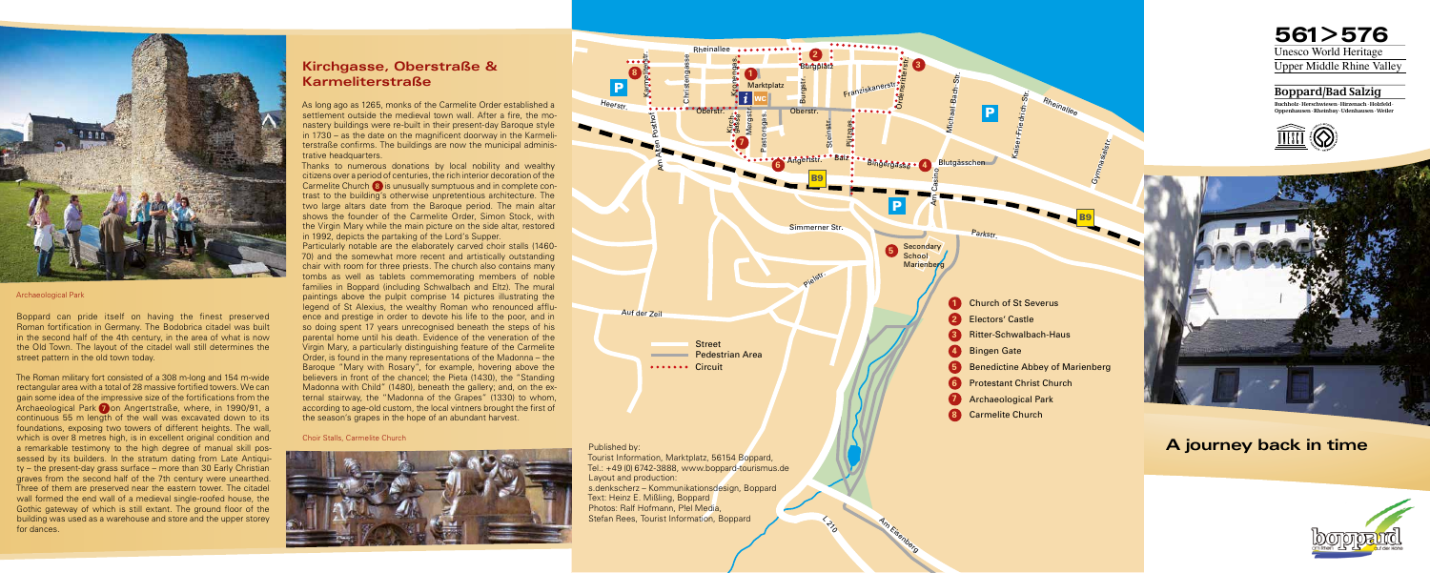



Am Eisenberg



L 210

As long ago as 1265, monks of the Carmelite Order established a settlement outside the medieval town wall. After a fire, the monastery buildings were re-built in their present-day Baroque style in 1730 – as the date on the magnificent doorway in the Karmeliterstraße confirms. The buildings are now the municipal administrative headquarters.

### Published by:

Tourist Information, Marktplatz, 56154 Boppard, Tel.: +49 (0) 6742-3888, www.boppard-tourismus.de Layout and production: s.denkscherz – Kommunikationsdesign, Boppard Text: Heinz E. Mißling, Boppard Photos: Ralf Hofmann, P!el Media, Stefan Rees, Tourist Information, Boppard

## **Kirchgasse, Oberstraße & Karmeliterstraße**

Thanks to numerous donations by local nobility and wealthy citizens over a period of centuries, the rich interior decoration of the Carmelite Church **8** is unusually sumptuous and in complete contrast to the building's otherwise unpretentious architecture. The two large altars date from the Baroque period. The main altar shows the founder of the Carmelite Order, Simon Stock, with the Virgin Mary while the main picture on the side altar, restored in 1992, depicts the partaking of the Lord's Supper.

# 561>576 Unesco World Heritage

Upper Middle Rhine Valley

Particularly notable are the elaborately carved choir stalls (1460- 70) and the somewhat more recent and artistically outstanding chair with room for three priests. The church also contains many tombs as well as tablets commemorating members of noble families in Boppard (including Schwalbach and Eltz). The mural paintings above the pulpit comprise 14 pictures illustrating the legend of St Alexius, the wealthy Roman who renounced affluence and prestige in order to devote his life to the poor, and in so doing spent 17 years unrecognised beneath the steps of his parental home until his death. Evidence of the veneration of the Virgin Mary, a particularly distinguishing feature of the Carmelite Order, is found in the many representations of the Madonna – the Baroque "Mary with Rosary", for example, hovering above the believers in front of the chancel; the Pieta (1430), the "Standing Madonna with Child" (1480), beneath the gallery; and, on the external stairway, the "Madonna of the Grapes" (1330) to whom, according to age-old custom, the local vintners brought the first of the season's grapes in the hope of an abundant harvest.

### Choir Stalls, Carmelite Church





### Archaeological Park

Boppard can pride itself on having the finest preserved Roman fortification in Germany. The Bodobrica citadel was built in the second half of the 4th century, in the area of what is now the Old Town. The layout of the citadel wall still determines the street pattern in the old town today.

The Roman military fort consisted of a 308 m-long and 154 m-wide rectangular area with a total of 28 massive fortified towers. We can gain some idea of the impressive size of the fortifications from the Archaeological Park 7 on Angertstraße, where, in 1990/91, a continuous 55 m length of the wall was excavated down to its foundations, exposing two towers of different heights. The wall, which is over 8 metres high, is in excellent original condition and a remarkable testimony to the high degree of manual skill possessed by its builders. In the stratum dating from Late Antiquity – the present-day grass surface – more than 30 Early Christian graves from the second half of the 7th century were unearthed. Three of them are preserved near the eastern tower. The citadel wall formed the end wall of a medieval single-roofed house, the Gothic gateway of which is still extant. The ground floor of the building was used as a warehouse and store and the upper storey for dances.

## **Boppard/Bad Salzig**

**Buchholz · Herschwiesen · Hirzenach · Holzfeld · Oppenhausen · Rheinbay · Udenhausen · Weiler**